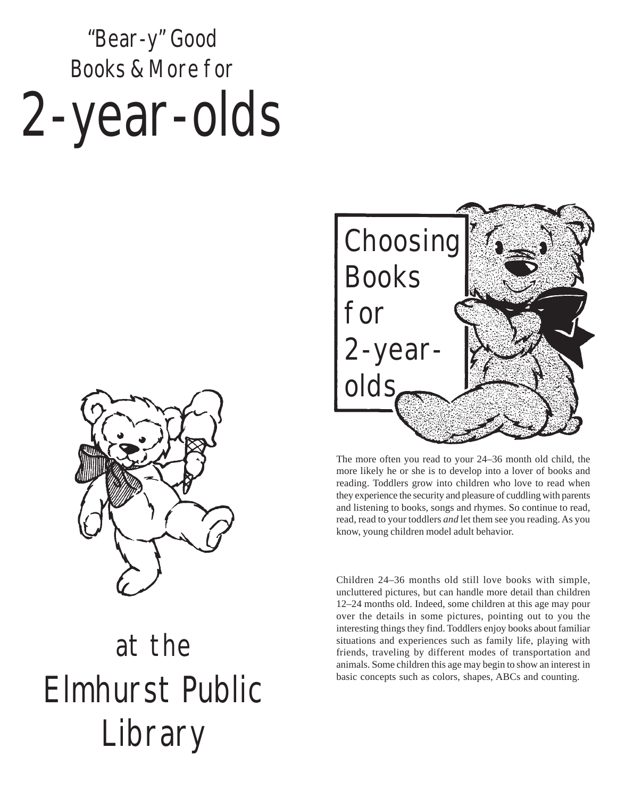# "Bear-y" Good Books & More for 2-year-olds



## at the Elmhurst Public **Library**



The more often you read to your 24–36 month old child, the more likely he or she is to develop into a lover of books and reading. Toddlers grow into children who love to read when they experience the security and pleasure of cuddling with parents and listening to books, songs and rhymes. So continue to read, read, read to your toddlers *and* let them see you reading. As you know, young children model adult behavior.

Children 24–36 months old still love books with simple, uncluttered pictures, but can handle more detail than children 12–24 months old. Indeed, some children at this age may pour over the details in some pictures, pointing out to you the interesting things they find. Toddlers enjoy books about familiar situations and experiences such as family life, playing with friends, traveling by different modes of transportation and animals. Some children this age may begin to show an interest in basic concepts such as colors, shapes, ABCs and counting.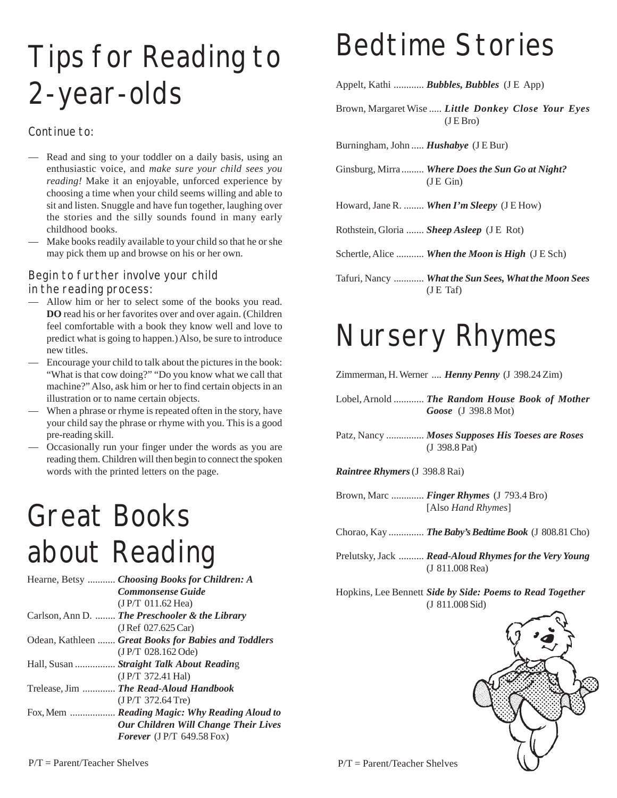## Tips for Reading to 2-year-olds

#### Continue to:

- Read and sing to your toddler on a daily basis, using an enthusiastic voice, and *make sure your child sees you reading!* Make it an enjoyable, unforced experience by choosing a time when your child seems willing and able to sit and listen. Snuggle and have fun together, laughing over the stories and the silly sounds found in many early childhood books.
- Make books readily available to your child so that he or she may pick them up and browse on his or her own.

#### Begin to further involve your child

in the reading process:

- Allow him or her to select some of the books you read. **DO** read his or her favorites over and over again. (Children feel comfortable with a book they know well and love to predict what is going to happen.) Also, be sure to introduce new titles.
- Encourage your child to talk about the pictures in the book: "What is that cow doing?" "Do you know what we call that machine?" Also, ask him or her to find certain objects in an illustration or to name certain objects.
- When a phrase or rhyme is repeated often in the story, have your child say the phrase or rhyme with you. This is a good pre-reading skill.
- Occasionally run your finger under the words as you are reading them. Children will then begin to connect the spoken words with the printed letters on the page.

#### Great Books about Reading

|  | Hearne, Betsy  Choosing Books for Children: A        |
|--|------------------------------------------------------|
|  | <b>Commonsense Guide</b>                             |
|  | (JP/T 011.62 Hea)                                    |
|  | Carlson, Ann D.  The Preschooler & the Library       |
|  | (J Ref 027.625 Car)                                  |
|  | Odean, Kathleen  Great Books for Babies and Toddlers |
|  | (JP/T 028.162 Ode)                                   |
|  | Hall, Susan  Straight Talk About Reading             |
|  | (J P/T 372.41 Ha)                                    |
|  | Trelease, Jim  The Read-Aloud Handbook               |
|  | (J P/T 372.64 Tre)                                   |
|  | Fox, Mem  Reading Magic: Why Reading Aloud to        |
|  | Our Children Will Change Their Lives                 |
|  | Forever $($ J $P/T$ 649.58 Fox)                      |
|  |                                                      |

#### Bedtime Stories

Appelt, Kathi ............ *Bubbles, Bubbles* (J E App)

Brown, Margaret Wise ..... *Little Donkey Close Your Eyes*  $(I E B<sub>ro</sub>)$ 

Burningham, John ..... *Hushabye* (J E Bur)

Ginsburg, Mirra ......... *Where Does the Sun Go at Night?*  $(JE$  Gin $)$ 

Howard, Jane R. ........ *When I'm Sleepy* (J E How)

Rothstein, Gloria ....... *Sheep Asleep* (J E Rot)

Schertle, Alice ........... *When the Moon is High* (J E Sch)

Tafuri, Nancy ............ *What the Sun Sees, What the Moon Sees* (J E Taf)

#### Nursery Rhymes

Zimmerman, H. Werner .... *Henny Penny* (J 398.24 Zim)

Lobel, Arnold ............ *The Random House Book of Mother Goose* (J 398.8 Mot)

Patz, Nancy ............... *Moses Supposes His Toeses are Roses* (J 398.8 Pat)

*Raintree Rhymers* (J 398.8 Rai)

Brown, Marc ............. *Finger Rhymes* (J 793.4 Bro) [Also *Hand Rhymes*]

Chorao, Kay .............. *The Baby's Bedtime Book* (J 808.81 Cho)

Prelutsky, Jack .......... *Read-Aloud Rhymes for the Very Young* (J 811.008 Rea)

Hopkins, Lee Bennett *Side by Side: Poems to Read Together* (J 811.008 Sid)



P/T = Parent/Teacher Shelves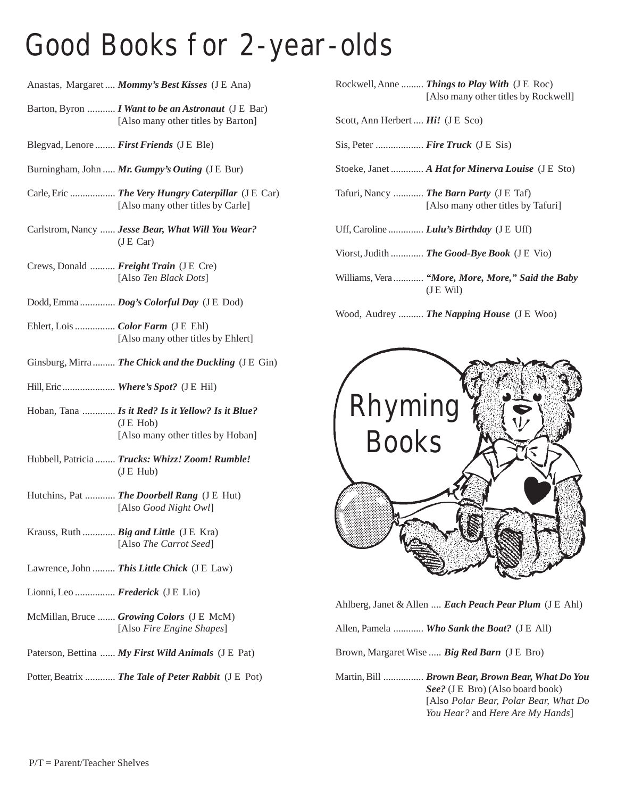#### Good Books for 2-year-olds

|                                  | Anastas, Margaret  Mommy's Best Kisses (J E Ana)                                                            | <b>Rock</b>            |
|----------------------------------|-------------------------------------------------------------------------------------------------------------|------------------------|
|                                  | Barton, Byron  I Want to be an Astronaut (J E Bar)<br>[Also many other titles by Barton]                    | Scott,                 |
|                                  | Blegvad, Lenore  First Friends (JE Ble)                                                                     | Sis, P                 |
|                                  | Burningham, John  Mr. Gumpy's Outing (J E Bur)                                                              | Stoek                  |
|                                  | Carle, Eric  The Very Hungry Caterpillar (J E Car)<br>[Also many other titles by Carle]                     | <b>Tafur</b>           |
|                                  | Carlstrom, Nancy  Jesse Bear, What Will You Wear?<br>(JE Car)                                               | Uff, C                 |
|                                  | Crews, Donald  Freight Train (J E Cre)<br>[Also Ten Black Dots]                                             | <b>Viors</b><br>Willia |
|                                  | Dodd, Emma  Dog's Colorful Day (J E Dod)                                                                    |                        |
|                                  | Ehlert, Lois  Color Farm (JE Ehl)<br>[Also many other titles by Ehlert]                                     | Wood                   |
|                                  | Ginsburg, Mirra  The Chick and the Duckling (J E Gin)                                                       |                        |
|                                  | Hill, Eric  Where's Spot? (J E Hil)                                                                         |                        |
|                                  | Hoban, Tana  Is it Red? Is it Yellow? Is it Blue?<br>$($ J $E$ Hob $)$<br>[Also many other titles by Hoban] |                        |
|                                  | Hubbell, Patricia  Trucks: Whizz! Zoom! Rumble!<br>$($ J E Hub $)$                                          |                        |
|                                  | Hutchins, Pat  The Doorbell Rang (J E Hut)<br>[Also Good Night Owl]                                         |                        |
|                                  | Krauss, Ruth  Big and Little (J E Kra)<br>[Also The Carrot Seed]                                            |                        |
|                                  | Lawrence, John  This Little Chick (J E Law)                                                                 |                        |
| Lionni, Leo  Frederick (J E Lio) |                                                                                                             |                        |
|                                  | McMillan, Bruce  Growing Colors (J E McM)<br>[Also Fire Engine Shapes]                                      | Ahlbe<br>Allen         |
|                                  | Paterson, Bettina  My First Wild Animals (J E Pat)                                                          | <b>Brow</b>            |
|                                  | Potter, Beatrix  The Tale of Peter Rabbit (J E Pot)                                                         | Marti                  |

| Rockwell, Anne  Things to Play With (J E Roc) |
|-----------------------------------------------|
| [Also many other titles by Rockwell]          |

Ann Herbert .... *Hi!* (JE Sco)

eter ................... *Fire Truck* (J E Sis)

- Stoeke, Janet ............. *A Hat for Minerva Louise* (J E Sto)
- i, Nancy ............ *The Barn Party* (J E Taf) [Also many other titles by Tafuri]

Zaroline ............... *Lulu's Birthday* (J E Uff)

t, Judith ............. *The Good-Bye Book* (J E Vio)

ams, Vera ............ *"More, More, More," Said the Baby* (J E Wil)

1, Audrey .......... *The Napping House* (J E Woo)



Ahlberg, Janet & Allen .... *Each Peach Pear Plum* (J E Ahl)

Pamela ............ *Who Sank the Boat?* (J E All)

Brown, Margaret Wise ..... *Big Red Barn* (J E Bro)

n, Bill ................ *Brown Bear, Brown Bear, What Do You See?* (J E Bro) (Also board book) [Also *Polar Bear, Polar Bear, What Do You Hear?* and *Here Are My Hands*]